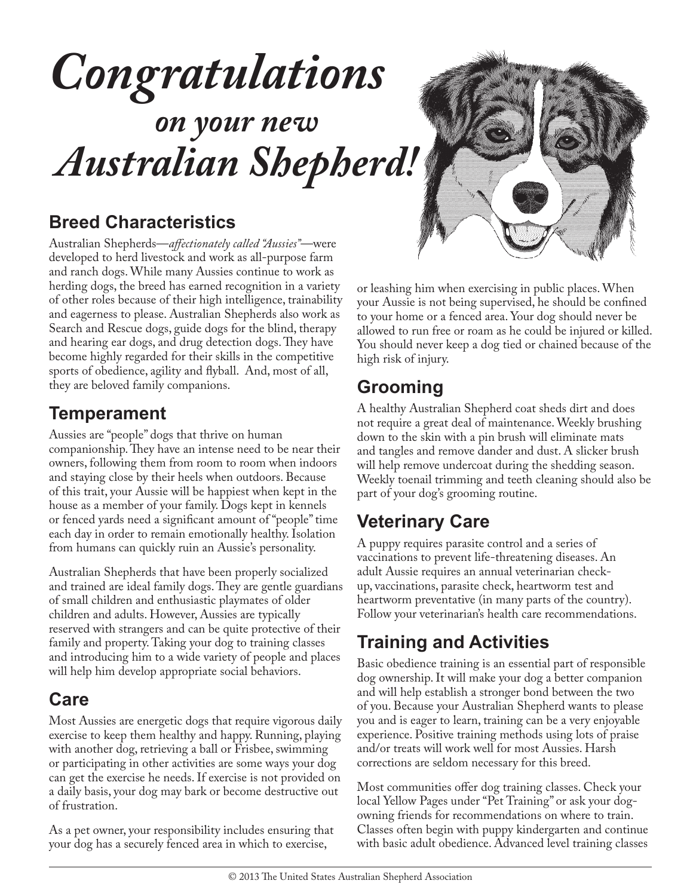# *Congratulations*

# *on your new Australian Shepherd!*

### **Breed Characteristics**

Australian Shepherds—*affectionately called "Aussies"*—were developed to herd livestock and work as all-purpose farm and ranch dogs. While many Aussies continue to work as herding dogs, the breed has earned recognition in a variety of other roles because of their high intelligence, trainability and eagerness to please. Australian Shepherds also work as Search and Rescue dogs, guide dogs for the blind, therapy and hearing ear dogs, and drug detection dogs. They have become highly regarded for their skills in the competitive sports of obedience, agility and flyball. And, most of all, they are beloved family companions.

#### **Temperament**

Aussies are "people" dogs that thrive on human companionship. They have an intense need to be near their owners, following them from room to room when indoors and staying close by their heels when outdoors. Because of this trait, your Aussie will be happiest when kept in the house as a member of your family. Dogs kept in kennels or fenced yards need a significant amount of "people" time each day in order to remain emotionally healthy. Isolation from humans can quickly ruin an Aussie's personality.

Australian Shepherds that have been properly socialized and trained are ideal family dogs. They are gentle guardians of small children and enthusiastic playmates of older children and adults. However, Aussies are typically reserved with strangers and can be quite protective of their family and property. Taking your dog to training classes and introducing him to a wide variety of people and places will help him develop appropriate social behaviors.

### **Care**

Most Aussies are energetic dogs that require vigorous daily exercise to keep them healthy and happy. Running, playing with another dog, retrieving a ball or Frisbee, swimming or participating in other activities are some ways your dog can get the exercise he needs. If exercise is not provided on a daily basis, your dog may bark or become destructive out of frustration.

As a pet owner, your responsibility includes ensuring that your dog has a securely fenced area in which to exercise,



or leashing him when exercising in public places. When your Aussie is not being supervised, he should be confined to your home or a fenced area. Your dog should never be allowed to run free or roam as he could be injured or killed. You should never keep a dog tied or chained because of the high risk of injury.

# **Grooming**

A healthy Australian Shepherd coat sheds dirt and does not require a great deal of maintenance. Weekly brushing down to the skin with a pin brush will eliminate mats and tangles and remove dander and dust. A slicker brush will help remove undercoat during the shedding season. Weekly toenail trimming and teeth cleaning should also be part of your dog's grooming routine.

# **Veterinary Care**

A puppy requires parasite control and a series of vaccinations to prevent life-threatening diseases. An adult Aussie requires an annual veterinarian checkup, vaccinations, parasite check, heartworm test and heartworm preventative (in many parts of the country). Follow your veterinarian's health care recommendations.

# **Training and Activities**

Basic obedience training is an essential part of responsible dog ownership. It will make your dog a better companion and will help establish a stronger bond between the two of you. Because your Australian Shepherd wants to please you and is eager to learn, training can be a very enjoyable experience. Positive training methods using lots of praise and/or treats will work well for most Aussies. Harsh corrections are seldom necessary for this breed.

Most communities offer dog training classes. Check your local Yellow Pages under "Pet Training" or ask your dogowning friends for recommendations on where to train. Classes often begin with puppy kindergarten and continue with basic adult obedience. Advanced level training classes